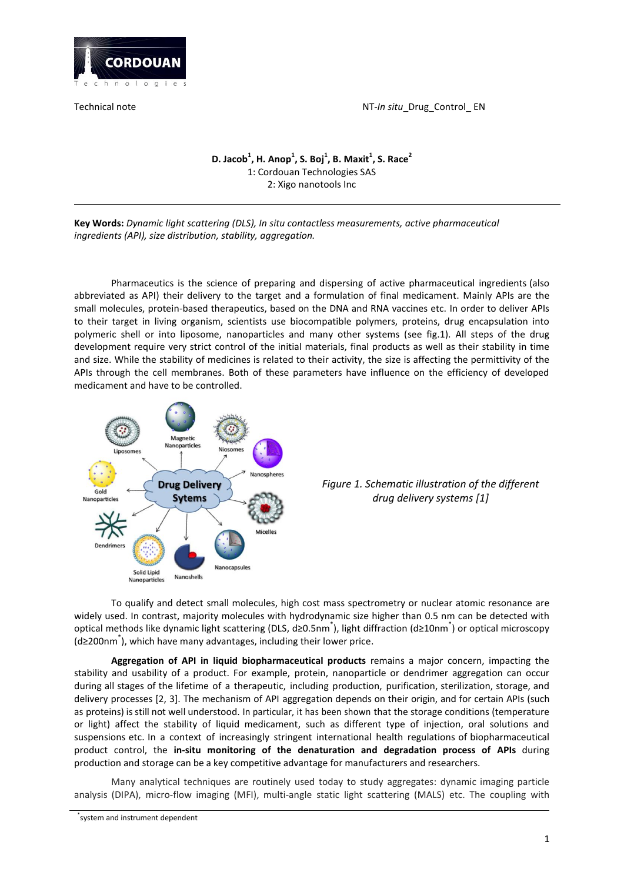

Technical note NT-In situ\_Drug\_Control\_ EN

# **D. Jacob<sup>1</sup> , H. Anop<sup>1</sup> , S. Boj<sup>1</sup> , B. Maxit<sup>1</sup> , S. Race<sup>2</sup>** 1: Cordouan Technologies SAS 2: Xigo nanotools Inc

**Key Words:** *Dynamic light scattering (DLS), In situ contactless measurements, active pharmaceutical ingredients (API), size distribution, stability, aggregation.*

[Pharmaceutics](https://www.dictionary.com/browse/pharmaceutics) is the science of preparing and dispersing of active pharmaceutical ingredients (also abbreviated as API) their delivery to the target and a formulation of final medicament. Mainly APIs are the small molecules, protein-based therapeutics, based on the DNA and RNA vaccines etc. In order to deliver APIs to their target in living organism, scientists use biocompatible polymers, proteins, drug encapsulation into polymeric shell or into liposome, nanoparticles and many other systems (see fig.1). All steps of the drug development require very strict control of the initial materials, final products as well as their stability in time and size. While the stability of medicines is related to their activity, the size is affecting the permittivity of the APIs through the cell membranes. Both of these parameters have influence on the efficiency of developed medicament and have to be controlled.



# *Figure 1. Schematic illustration of the different drug delivery systems [1]*

To qualify and detect small molecules, high cost mass spectrometry or nuclear atomic resonance are widely used. In contrast, majority molecules with hydrodynamic size higher than 0.5 nm can be detected with optical methods like dynamic light scattering (DLS, d≥0.5nm<sup>\*</sup>), light diffraction (d≥10nm<sup>\*</sup>) or optical microscopy (d≥200nm\* ), which have many advantages, including their lower price.

**Aggregation of API in liquid biopharmaceutical products** remains a major concern, impacting the stability and usability of a product. For example, protein, nanoparticle or dendrimer aggregation can occur during all stages of the lifetime of a therapeutic, including production, purification, sterilization, storage, and delivery processes [2, 3]. The mechanism of API aggregation depends on their origin, and for certain APIs (such as proteins) is still not well understood. In particular, it has been shown that the storage conditions (temperature or light) affect the stability of liquid medicament, such as different type of injection, oral solutions and suspensions etc. In a context of increasingly stringent international health regulations of biopharmaceutical product control, the **in-situ monitoring of the denaturation and degradation process of APIs** during production and storage can be a key competitive advantage for manufacturers and researchers.

Many analytical techniques are routinely used today to study aggregates: dynamic imaging particle analysis (DIPA), micro-flow imaging (MFI), multi-angle static light scattering (MALS) etc. The coupling with

<sup>\*</sup> system and instrument dependent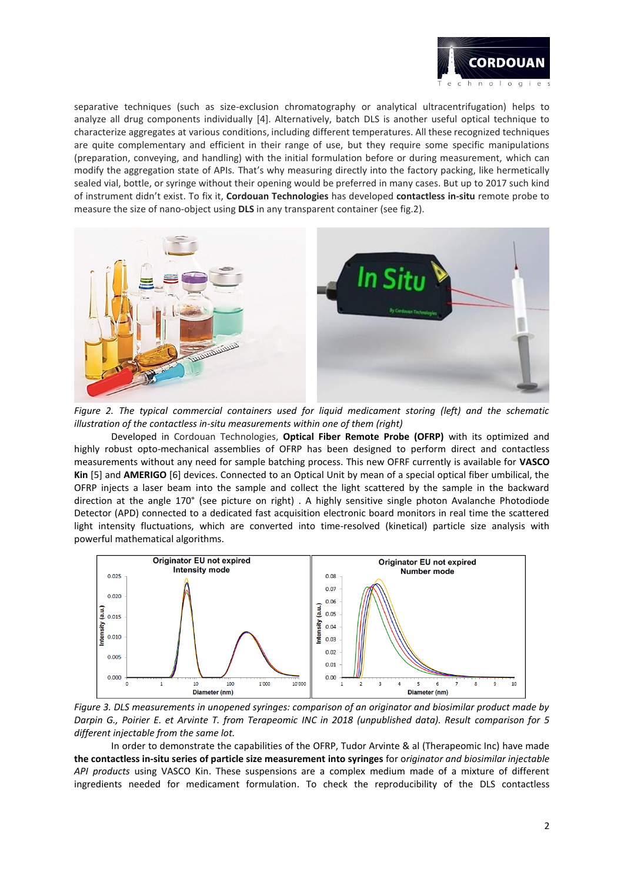

separative techniques (such as size-exclusion chromatography or analytical ultracentrifugation) helps to analyze all drug components individually [4]. Alternatively, batch DLS is another useful optical technique to characterize aggregates at various conditions, including different temperatures. All these recognized techniques are quite complementary and efficient in their range of use, but they require some specific manipulations (preparation, conveying, and handling) with the initial formulation before or during measurement, which can modify the aggregation state of APIs. That's why measuring directly into the factory packing, like hermetically sealed vial, bottle, or syringe without their opening would be preferred in many cases. But up to 2017 such kind of instrument didn't exist. To fix it, **Cordouan Technologies** has developed **contactless in-situ** remote probe to measure the size of nano-object using **DLS** in any transparent container (see fig.2).



*Figure 2. The typical commercial containers used for liquid medicament storing (left) and the schematic illustration of the contactless in-situ measurements within one of them (right)*

Developed in Cordouan Technologies, **Optical Fiber Remote Probe (OFRP)** with its optimized and highly robust opto-mechanical assemblies of OFRP has been designed to perform direct and contactless measurements without any need for sample batching process. This new OFRF currently is available for **VASCO Kin** [5] and **AMERIGO** [6] devices. Connected to an Optical Unit by mean of a special optical fiber umbilical, the OFRP injects a laser beam into the sample and collect the light scattered by the sample in the backward direction at the angle 170° (see picture on right) . A highly sensitive single photon Avalanche Photodiode Detector (APD) connected to a dedicated fast acquisition electronic board monitors in real time the scattered light intensity fluctuations, which are converted into time-resolved (kinetical) particle size analysis with powerful mathematical algorithms.



*Figure 3. DLS measurements in unopened syringes: comparison of an originator and biosimilar product made by Darpin G., Poirier E. et Arvinte T. from Terapeomic INC in 2018 (unpublished data). Result comparison for 5 different injectable from the same lot.*

In order to demonstrate the capabilities of the OFRP, Tudor Arvinte & al (Therapeomic Inc) have made **the contactless in-situ series of particle size measurement into syringes** for o*riginator and biosimilar injectable API products* using VASCO Kin. These suspensions are a complex medium made of a mixture of different ingredients needed for medicament formulation. To check the reproducibility of the DLS contactless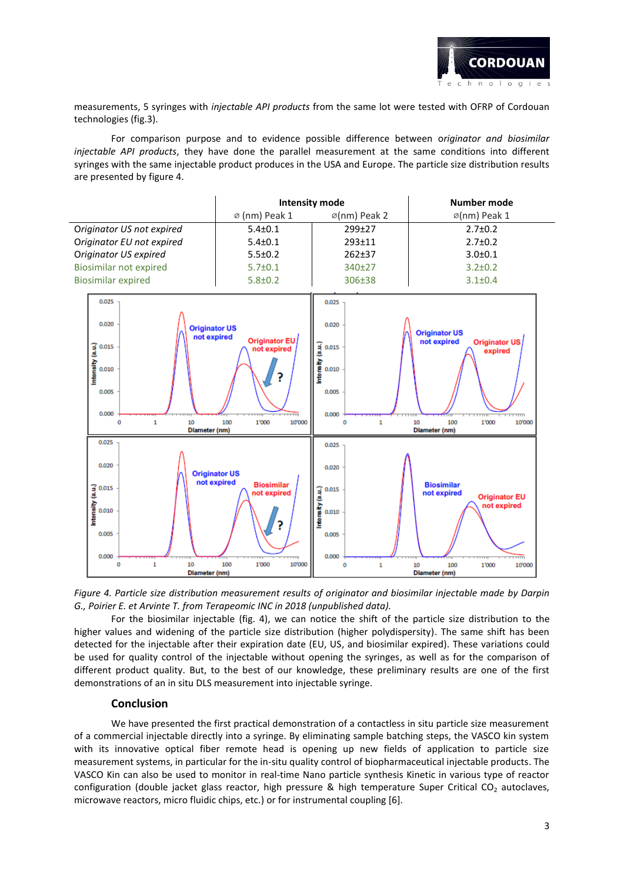

1'000

100

10

**Diameter** (nm)

10'000

measurements, 5 syringes with *injectable API products* from the same lot were tested with OFRP of Cordouan technologies (fig.3).

For comparison purpose and to evidence possible difference between o*riginator and biosimilar injectable API products*, they have done the parallel measurement at the same conditions into different syringes with the same injectable product produces in the USA and Europe. The particle size distribution results are presented by figure 4.

|                                                                                                       | <b>Intensity mode</b>                                                                                               |                                                                       | <b>Number mode</b>                                                                                                                                                                                             |  |
|-------------------------------------------------------------------------------------------------------|---------------------------------------------------------------------------------------------------------------------|-----------------------------------------------------------------------|----------------------------------------------------------------------------------------------------------------------------------------------------------------------------------------------------------------|--|
|                                                                                                       | ø (nm) Peak 1                                                                                                       | ø(nm) Peak 2                                                          | ø(nm) Peak 1                                                                                                                                                                                                   |  |
| Originator US not expired                                                                             | $5.4 \pm 0.1$                                                                                                       | 299±27                                                                | $2.7 \pm 0.2$                                                                                                                                                                                                  |  |
| Originator EU not expired                                                                             | $5.4 \pm 0.1$                                                                                                       | 293±11                                                                | $2.7 \pm 0.2$                                                                                                                                                                                                  |  |
| Originator US expired                                                                                 | $5.5 \pm 0.2$                                                                                                       | 262±37                                                                | $3.0 + 0.1$                                                                                                                                                                                                    |  |
| <b>Biosimilar not expired</b>                                                                         | $5.7 \pm 0.1$                                                                                                       | 340±27                                                                | $3.2 \pm 0.2$                                                                                                                                                                                                  |  |
| <b>Biosimilar expired</b>                                                                             | $5.8 \pm 0.2$                                                                                                       | 306±38                                                                | $3.1 \pm 0.4$                                                                                                                                                                                                  |  |
| 0.025<br>0.020<br>Intensity (a.u.)<br>0.015<br>0.010<br>0.005<br>0.000<br>10<br>$\mathbf{1}$<br>o     | <b>Originator US</b><br>not expired<br>Originator EU<br>not expired<br>?<br>10'000<br>100<br>1'000<br>Diameter (nm) |                                                                       | 0.025<br>0.020<br><b>Originator US</b><br>not expired<br>Originator US<br>ntensity (a.u.)<br>0.015<br>expired<br>0.010<br>0.005<br>0.000<br>Ō<br>$\mathbf{1}$<br>10<br>100<br>1'000<br>10'000<br>Diameter (nm) |  |
| 0.025<br>0.020<br>$\frac{1}{6}$ 0.015<br>$\frac{1}{6}$ 0.010<br>$\frac{1}{6}$ 0.010<br>0.005<br>o ooo | <b>Originator US</b><br>not expired<br><b>Biosimilar</b><br>not expired<br>?                                        | 0.025<br>0.020<br>0.015<br>mtensity (a.u.)<br>0.010<br>0.005<br>o oon | <b>Biosimilar</b><br>not expired<br><b>Originator EU</b><br>not expired                                                                                                                                        |  |

*Figure 4. Particle size distribution measurement results of originator and biosimilar injectable made by Darpin G., Poirier E. et Arvinte T. from Terapeomic INC in 2018 (unpublished data).*

 $\mathbf 0$ 

 $\mathbf{1}$ 

10'000

For the biosimilar injectable (fig. 4), we can notice the shift of the particle size distribution to the higher values and widening of the particle size distribution (higher polydispersity). The same shift has been detected for the injectable after their expiration date (EU, US, and biosimilar expired). These variations could be used for quality control of the injectable without opening the syringes, as well as for the comparison of different product quality. But, to the best of our knowledge, these preliminary results are one of the first demonstrations of an in situ DLS measurement into injectable syringe.

#### **Conclusion**

 $\ddot{\mathbf{o}}$ 

 $\mathbf{1}$ 

10

Diameter (nm)

100

1'000

We have presented the first practical demonstration of a contactless in situ particle size measurement of a commercial injectable directly into a syringe. By eliminating sample batching steps, the VASCO kin system with its innovative optical fiber remote head is opening up new fields of application to particle size measurement systems, in particular for the in-situ quality control of biopharmaceutical injectable products. The VASCO Kin can also be used to monitor in real-time Nano particle synthesis Kinetic in various type of reactor configuration (double jacket glass reactor, high pressure & high temperature Super Critical CO<sub>2</sub> autoclaves, microwave reactors, micro fluidic chips, etc.) or for instrumental coupling [6].